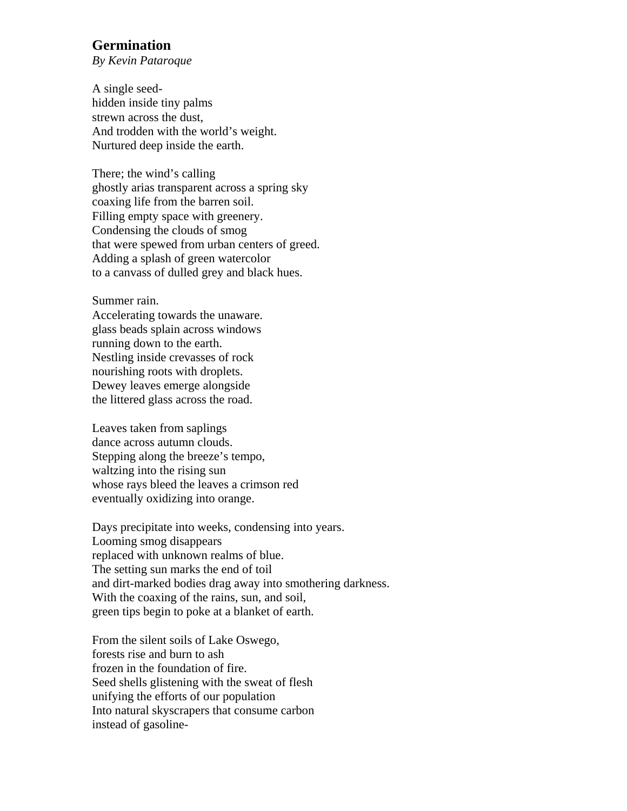## **Germination**

*By Kevin Pataroque* 

A single seedhidden inside tiny palms strewn across the dust, And trodden with the world's weight. Nurtured deep inside the earth.

There; the wind's calling ghostly arias transparent across a spring sky coaxing life from the barren soil. Filling empty space with greenery. Condensing the clouds of smog that were spewed from urban centers of greed. Adding a splash of green watercolor to a canvass of dulled grey and black hues.

Summer rain.

Accelerating towards the unaware. glass beads splain across windows running down to the earth. Nestling inside crevasses of rock nourishing roots with droplets. Dewey leaves emerge alongside the littered glass across the road.

Leaves taken from saplings dance across autumn clouds. Stepping along the breeze's tempo, waltzing into the rising sun whose rays bleed the leaves a crimson red eventually oxidizing into orange.

Days precipitate into weeks, condensing into years. Looming smog disappears replaced with unknown realms of blue. The setting sun marks the end of toil and dirt-marked bodies drag away into smothering darkness. With the coaxing of the rains, sun, and soil, green tips begin to poke at a blanket of earth.

From the silent soils of Lake Oswego, forests rise and burn to ash frozen in the foundation of fire. Seed shells glistening with the sweat of flesh unifying the efforts of our population Into natural skyscrapers that consume carbon instead of gasoline